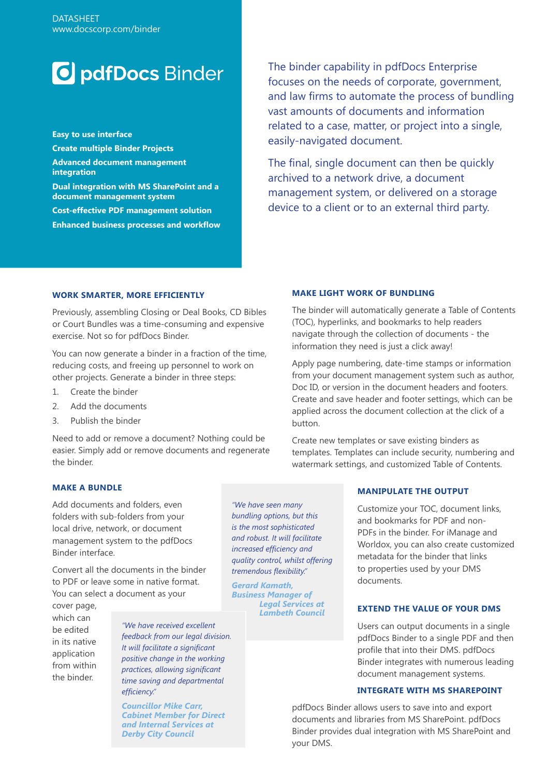# **O** pdfDocs Binder

**Easy to use interface Create multiple Binder Projects Advanced document management integration Dual integration with MS SharePoint and a document management system Cost-effective PDF management solution Enhanced business processes and workflow**

The binder capability in pdfDocs Enterprise focuses on the needs of corporate, government, and law firms to automate the process of bundling vast amounts of documents and information related to a case, matter, or project into a single, easily-navigated document.

The final, single document can then be quickly archived to a network drive, a document management system, or delivered on a storage device to a client or to an external third party.

## **WORK SMARTER, MORE EFFICIENTLY**

Previously, assembling Closing or Deal Books, CD Bibles or Court Bundles was a time-consuming and expensive exercise. Not so for pdfDocs Binder.

You can now generate a binder in a fraction of the time, reducing costs, and freeing up personnel to work on other projects. Generate a binder in three steps:

- 1. Create the binder
- 2. Add the documents
- 3. Publish the binder

Need to add or remove a document? Nothing could be easier. Simply add or remove documents and regenerate the binder.

## **MAKE LIGHT WORK OF BUNDLING**

The binder will automatically generate a Table of Contents (TOC), hyperlinks, and bookmarks to help readers navigate through the collection of documents - the information they need is just a click away!

Apply page numbering, date-time stamps or information from your document management system such as author, Doc ID, or version in the document headers and footers. Create and save header and footer settings, which can be applied across the document collection at the click of a button.

Create new templates or save existing binders as templates. Templates can include security, numbering and watermark settings, and customized Table of Contents.

# **MAKE A BUNDLE**

Add documents and folders, even folders with sub-folders from your local drive, network, or document management system to the pdfDocs Binder interface.

Convert all the documents in the binder to PDF or leave some in native format. You can select a document as your

cover page, which can be edited in its native application from within the binder.

*"We have received excellent feedback from our legal division. It will facilitate a significant positive change in the working practices, allowing significant time saving and departmental efficiency."* 

*Councillor Mike Carr, Cabinet Member for Direct and Internal Services at Derby City Council*

*"We have seen many bundling options, but this is the most sophisticated and robust. It will facilitate increased efficiency and quality control, whilst offering tremendous flexibility."*

*Gerard Kamath, Business Manager of Legal Services at Lambeth Council* 

# **MANIPULATE THE OUTPUT**

Customize your TOC, document links, and bookmarks for PDF and non-PDFs in the binder. For iManage and Worldox, you can also create customized metadata for the binder that links to properties used by your DMS documents.

#### **EXTEND THE VALUE OF YOUR DMS**

Users can output documents in a single pdfDocs Binder to a single PDF and then profile that into their DMS. pdfDocs Binder integrates with numerous leading document management systems.

#### **INTEGRATE WITH MS SHAREPOINT**

pdfDocs Binder allows users to save into and export documents and libraries from MS SharePoint. pdfDocs Binder provides dual integration with MS SharePoint and your DMS.